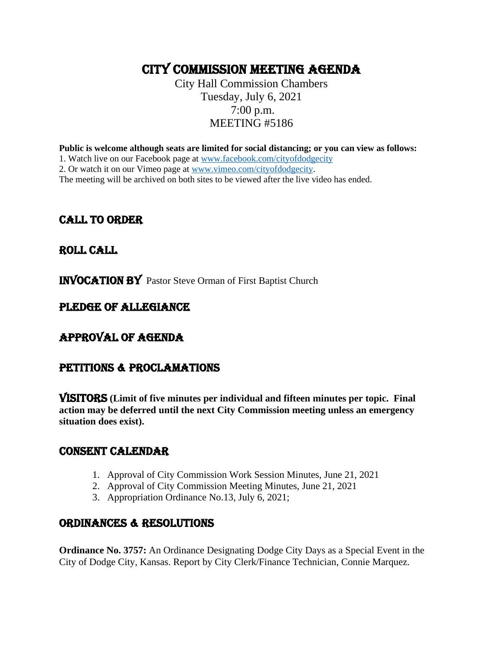# CITY COMMISSION MEETING AGENDA

City Hall Commission Chambers Tuesday, July 6, 2021 7:00 p.m. MEETING #5186

**Public is welcome although seats are limited for social distancing; or you can view as follows:**

1. Watch live on our Facebook page at [www.facebook.com/cityofdodgecity](http://www.facebook.com/cityofdodgecity)

2. Or watch it on our Vimeo page at [www.vimeo.com/cityofdodgecity.](http://www.vimeo.com/cityofdodgecity)

The meeting will be archived on both sites to be viewed after the live video has ended.

# CALL TO ORDER

# ROLL CALL

INVOCATION by Pastor Steve Orman of First Baptist Church

# PLEDGE OF ALLEGIANCE

# APPROVAL OF AGENDA

# PETITIONS & PROCLAMATIONS

VISITORS **(Limit of five minutes per individual and fifteen minutes per topic. Final action may be deferred until the next City Commission meeting unless an emergency situation does exist).**

#### CONSENT CALENDAR

- 1. Approval of City Commission Work Session Minutes, June 21, 2021
- 2. Approval of City Commission Meeting Minutes, June 21, 2021
- 3. Appropriation Ordinance No.13, July 6, 2021;

# ORDINANCES & RESOLUTIONS

**Ordinance No. 3757:** An Ordinance Designating Dodge City Days as a Special Event in the City of Dodge City, Kansas. Report by City Clerk/Finance Technician, Connie Marquez.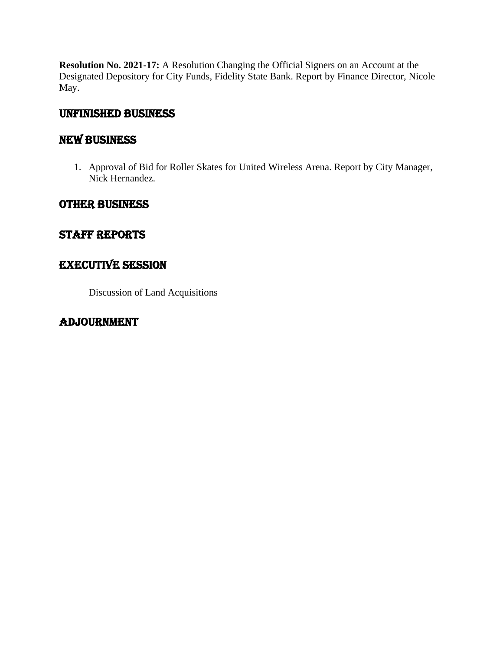**Resolution No. 2021-17:** A Resolution Changing the Official Signers on an Account at the Designated Depository for City Funds, Fidelity State Bank. Report by Finance Director, Nicole May.

# UNFINISHED BUSINESS

# NEW BUSINESS

1. Approval of Bid for Roller Skates for United Wireless Arena. Report by City Manager, Nick Hernandez.

# OTHER BUSINESS

# Staff reports

# EXECUTIVE SESSION

Discussion of Land Acquisitions

# ADJOURNMENT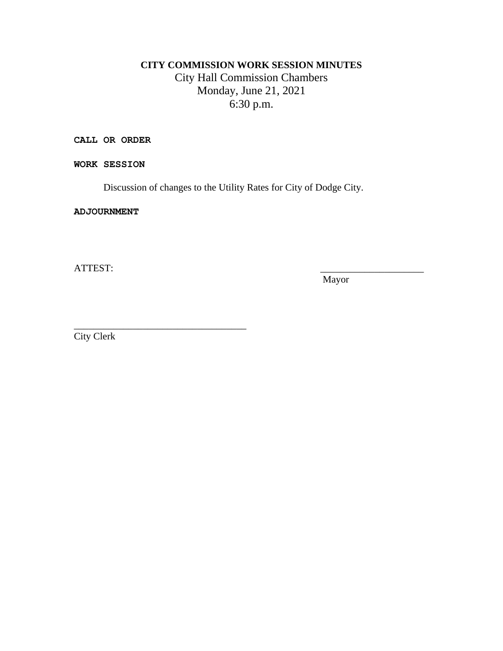# **CITY COMMISSION WORK SESSION MINUTES** City Hall Commission Chambers Monday, June 21, 2021 6:30 p.m.

**CALL OR ORDER**

**WORK SESSION**

Discussion of changes to the Utility Rates for City of Dodge City.

**ADJOURNMENT**

ATTEST:

Mayor

City Clerk

\_\_\_\_\_\_\_\_\_\_\_\_\_\_\_\_\_\_\_\_\_\_\_\_\_\_\_\_\_\_\_\_\_\_\_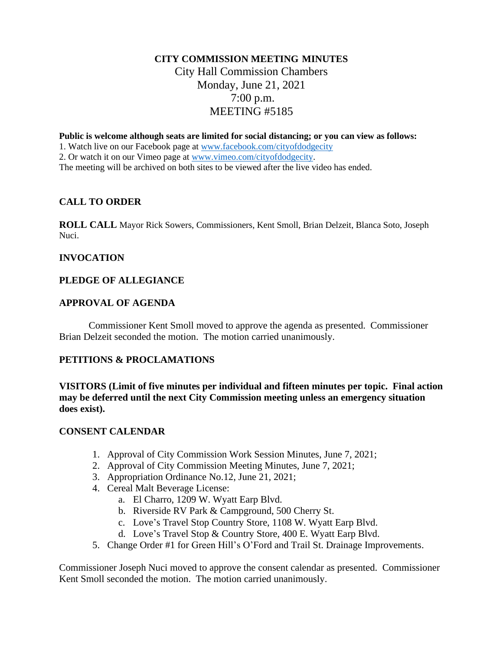# **CITY COMMISSION MEETING MINUTES** City Hall Commission Chambers Monday, June 21, 2021 7:00 p.m. MEETING #5185

**Public is welcome although seats are limited for social distancing; or you can view as follows:**

1. Watch live on our Facebook page at [www.facebook.com/cityofdodgecity](http://www.facebook.com/cityofdodgecity)

2. Or watch it on our Vimeo page at [www.vimeo.com/cityofdodgecity.](http://www.vimeo.com/cityofdodgecity)

The meeting will be archived on both sites to be viewed after the live video has ended.

#### **CALL TO ORDER**

**ROLL CALL** Mayor Rick Sowers, Commissioners, Kent Smoll, Brian Delzeit, Blanca Soto, Joseph Nuci.

#### **INVOCATION**

#### **PLEDGE OF ALLEGIANCE**

#### **APPROVAL OF AGENDA**

Commissioner Kent Smoll moved to approve the agenda as presented. Commissioner Brian Delzeit seconded the motion. The motion carried unanimously.

#### **PETITIONS & PROCLAMATIONS**

**VISITORS (Limit of five minutes per individual and fifteen minutes per topic. Final action may be deferred until the next City Commission meeting unless an emergency situation does exist).**

#### **CONSENT CALENDAR**

- 1. Approval of City Commission Work Session Minutes, June 7, 2021;
- 2. Approval of City Commission Meeting Minutes, June 7, 2021;
- 3. Appropriation Ordinance No.12, June 21, 2021;
- 4. Cereal Malt Beverage License:
	- a. El Charro, 1209 W. Wyatt Earp Blvd.
	- b. Riverside RV Park & Campground, 500 Cherry St.
	- c. Love's Travel Stop Country Store, 1108 W. Wyatt Earp Blvd.
	- d. Love's Travel Stop & Country Store, 400 E. Wyatt Earp Blvd.
- 5. Change Order #1 for Green Hill's O'Ford and Trail St. Drainage Improvements.

Commissioner Joseph Nuci moved to approve the consent calendar as presented. Commissioner Kent Smoll seconded the motion. The motion carried unanimously.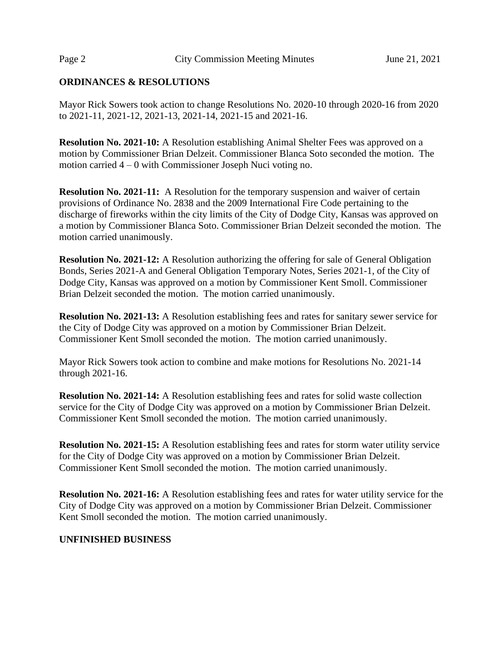#### **ORDINANCES & RESOLUTIONS**

Mayor Rick Sowers took action to change Resolutions No. 2020-10 through 2020-16 from 2020 to 2021-11, 2021-12, 2021-13, 2021-14, 2021-15 and 2021-16.

**Resolution No. 2021-10:** A Resolution establishing Animal Shelter Fees was approved on a motion by Commissioner Brian Delzeit. Commissioner Blanca Soto seconded the motion. The motion carried 4 – 0 with Commissioner Joseph Nuci voting no.

**Resolution No. 2021-11:** A Resolution for the temporary suspension and waiver of certain provisions of Ordinance No. 2838 and the 2009 International Fire Code pertaining to the discharge of fireworks within the city limits of the City of Dodge City, Kansas was approved on a motion by Commissioner Blanca Soto. Commissioner Brian Delzeit seconded the motion. The motion carried unanimously.

**Resolution No. 2021-12:** A Resolution authorizing the offering for sale of General Obligation Bonds, Series 2021-A and General Obligation Temporary Notes, Series 2021-1, of the City of Dodge City, Kansas was approved on a motion by Commissioner Kent Smoll. Commissioner Brian Delzeit seconded the motion. The motion carried unanimously.

**Resolution No. 2021-13:** A Resolution establishing fees and rates for sanitary sewer service for the City of Dodge City was approved on a motion by Commissioner Brian Delzeit. Commissioner Kent Smoll seconded the motion. The motion carried unanimously.

Mayor Rick Sowers took action to combine and make motions for Resolutions No. 2021-14 through 2021-16.

**Resolution No. 2021-14:** A Resolution establishing fees and rates for solid waste collection service for the City of Dodge City was approved on a motion by Commissioner Brian Delzeit. Commissioner Kent Smoll seconded the motion. The motion carried unanimously.

**Resolution No. 2021-15:** A Resolution establishing fees and rates for storm water utility service for the City of Dodge City was approved on a motion by Commissioner Brian Delzeit. Commissioner Kent Smoll seconded the motion. The motion carried unanimously.

**Resolution No. 2021-16:** A Resolution establishing fees and rates for water utility service for the City of Dodge City was approved on a motion by Commissioner Brian Delzeit. Commissioner Kent Smoll seconded the motion. The motion carried unanimously.

#### **UNFINISHED BUSINESS**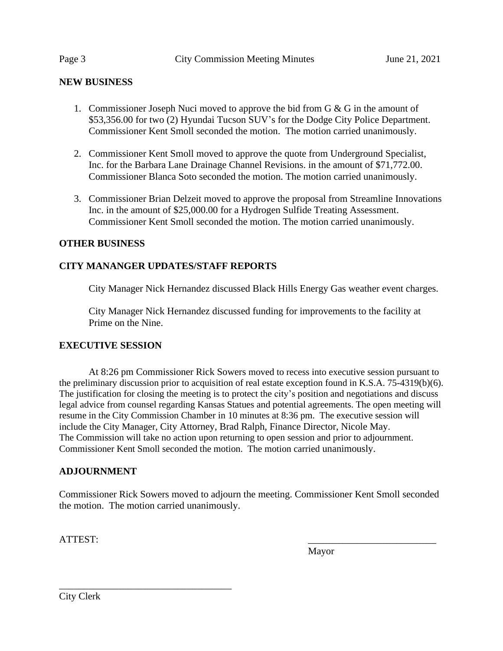#### **NEW BUSINESS**

- 1. Commissioner Joseph Nuci moved to approve the bid from G & G in the amount of \$53,356.00 for two (2) Hyundai Tucson SUV's for the Dodge City Police Department. Commissioner Kent Smoll seconded the motion. The motion carried unanimously.
- 2. Commissioner Kent Smoll moved to approve the quote from Underground Specialist, Inc. for the Barbara Lane Drainage Channel Revisions. in the amount of \$71,772.00. Commissioner Blanca Soto seconded the motion. The motion carried unanimously.
- 3. Commissioner Brian Delzeit moved to approve the proposal from Streamline Innovations Inc. in the amount of \$25,000.00 for a Hydrogen Sulfide Treating Assessment. Commissioner Kent Smoll seconded the motion. The motion carried unanimously.

#### **OTHER BUSINESS**

#### **CITY MANANGER UPDATES/STAFF REPORTS**

City Manager Nick Hernandez discussed Black Hills Energy Gas weather event charges.

City Manager Nick Hernandez discussed funding for improvements to the facility at Prime on the Nine.

#### **EXECUTIVE SESSION**

At 8:26 pm Commissioner Rick Sowers moved to recess into executive session pursuant to the preliminary discussion prior to acquisition of real estate exception found in K.S.A. 75-4319(b)(6). The justification for closing the meeting is to protect the city's position and negotiations and discuss legal advice from counsel regarding Kansas Statues and potential agreements. The open meeting will resume in the City Commission Chamber in 10 minutes at 8:36 pm. The executive session will include the City Manager, City Attorney, Brad Ralph, Finance Director, Nicole May. The Commission will take no action upon returning to open session and prior to adjournment. Commissioner Kent Smoll seconded the motion. The motion carried unanimously.

#### **ADJOURNMENT**

Commissioner Rick Sowers moved to adjourn the meeting. Commissioner Kent Smoll seconded the motion. The motion carried unanimously.

ATTEST:

Mayor

\_\_\_\_\_\_\_\_\_\_\_\_\_\_\_\_\_\_\_\_\_\_\_\_\_\_\_\_\_\_\_\_\_\_\_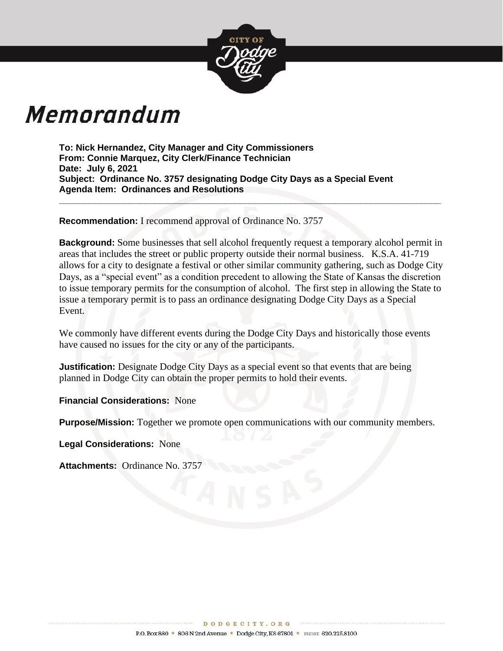

# Memorandum

**To: Nick Hernandez, City Manager and City Commissioners From: Connie Marquez, City Clerk/Finance Technician Date: July 6, 2021 Subject: Ordinance No. 3757 designating Dodge City Days as a Special Event Agenda Item: Ordinances and Resolutions**

**Recommendation:** I recommend approval of Ordinance No. 3757

**Background:** Some businesses that sell alcohol frequently request a temporary alcohol permit in areas that includes the street or public property outside their normal business. K.S.A. 41-719 allows for a city to designate a festival or other similar community gathering, such as Dodge City Days, as a "special event" as a condition precedent to allowing the State of Kansas the discretion to issue temporary permits for the consumption of alcohol. The first step in allowing the State to issue a temporary permit is to pass an ordinance designating Dodge City Days as a Special Event.

**\_\_\_\_\_\_\_\_\_\_\_\_\_\_\_\_\_\_\_\_\_\_\_\_\_\_\_\_\_\_\_\_\_\_\_\_\_\_\_\_\_\_\_\_\_\_\_\_\_\_\_\_\_\_\_\_\_\_\_\_\_\_\_\_\_\_\_\_\_\_\_\_\_\_\_\_**

We commonly have different events during the Dodge City Days and historically those events have caused no issues for the city or any of the participants.

**Justification:** Designate Dodge City Days as a special event so that events that are being planned in Dodge City can obtain the proper permits to hold their events.

**Financial Considerations:** None

**Purpose/Mission:** Together we promote open communications with our community members.

**Legal Considerations:** None

**Attachments:** Ordinance No. 3757

. . . . . . . . . . . . . . . . . . . .

\*\*\*\*\*\*\*\*\*\*\*\*\*\*\*\*\*\*\*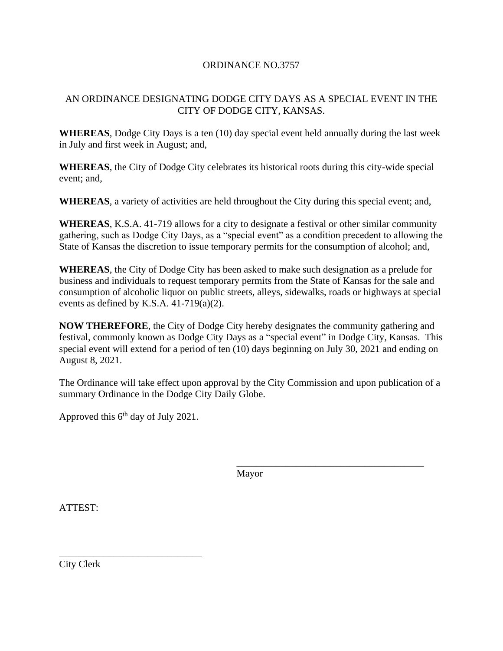#### ORDINANCE NO.3757

# AN ORDINANCE DESIGNATING DODGE CITY DAYS AS A SPECIAL EVENT IN THE CITY OF DODGE CITY, KANSAS.

**WHEREAS**, Dodge City Days is a ten (10) day special event held annually during the last week in July and first week in August; and,

**WHEREAS**, the City of Dodge City celebrates its historical roots during this city-wide special event; and,

**WHEREAS**, a variety of activities are held throughout the City during this special event; and,

**WHEREAS**, K.S.A. 41-719 allows for a city to designate a festival or other similar community gathering, such as Dodge City Days, as a "special event" as a condition precedent to allowing the State of Kansas the discretion to issue temporary permits for the consumption of alcohol; and,

**WHEREAS**, the City of Dodge City has been asked to make such designation as a prelude for business and individuals to request temporary permits from the State of Kansas for the sale and consumption of alcoholic liquor on public streets, alleys, sidewalks, roads or highways at special events as defined by K.S.A. 41-719(a)(2).

**NOW THEREFORE**, the City of Dodge City hereby designates the community gathering and festival, commonly known as Dodge City Days as a "special event" in Dodge City, Kansas. This special event will extend for a period of ten (10) days beginning on July 30, 2021 and ending on August 8, 2021.

The Ordinance will take effect upon approval by the City Commission and upon publication of a summary Ordinance in the Dodge City Daily Globe.

Approved this  $6<sup>th</sup>$  day of July 2021.

\_\_\_\_\_\_\_\_\_\_\_\_\_\_\_\_\_\_\_\_\_\_\_\_\_\_\_\_\_

Mayor

\_\_\_\_\_\_\_\_\_\_\_\_\_\_\_\_\_\_\_\_\_\_\_\_\_\_\_\_\_\_\_\_\_\_\_\_\_\_

ATTEST:

City Clerk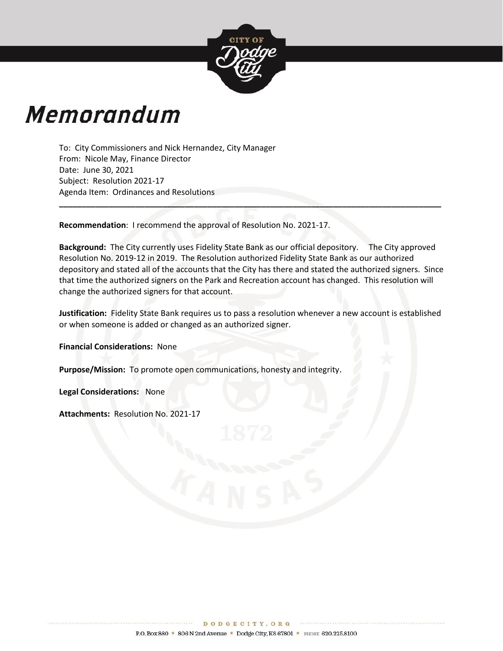

# **Memorandum**

To: City Commissioners and Nick Hernandez, City Manager From: Nicole May, Finance Director Date: June 30, 2021 Subject: Resolution 2021-17 Agenda Item: Ordinances and Resolutions

**Recommendation**: I recommend the approval of Resolution No. 2021-17.

**Background:** The City currently uses Fidelity State Bank as our official depository. The City approved Resolution No. 2019-12 in 2019. The Resolution authorized Fidelity State Bank as our authorized depository and stated all of the accounts that the City has there and stated the authorized signers. Since that time the authorized signers on the Park and Recreation account has changed. This resolution will change the authorized signers for that account.

**\_\_\_\_\_\_\_\_\_\_\_\_\_\_\_\_\_\_\_\_\_\_\_\_\_\_\_\_\_\_\_\_\_\_\_\_\_\_\_\_\_\_\_\_\_\_\_\_\_\_\_\_\_\_\_\_\_\_\_\_\_\_\_\_\_\_\_\_\_\_\_\_\_\_\_\_\_\_\_\_\_\_\_\_\_**

**Justification:** Fidelity State Bank requires us to pass a resolution whenever a new account is established or when someone is added or changed as an authorized signer.

**Financial Considerations:** None

**Purpose/Mission:** To promote open communications, honesty and integrity.

**Legal Considerations:** None

**Attachments:** Resolution No. 2021-17

**\*\*\*\*\*\*\*\*\*\*\*\*\*\*\*\*\***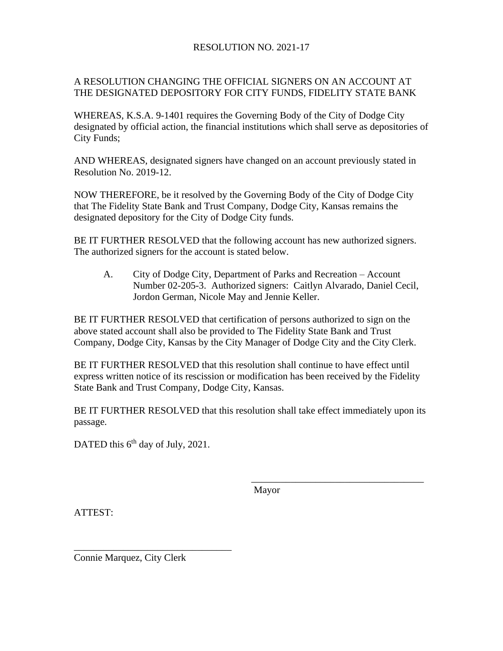#### RESOLUTION NO. 2021-17

#### A RESOLUTION CHANGING THE OFFICIAL SIGNERS ON AN ACCOUNT AT THE DESIGNATED DEPOSITORY FOR CITY FUNDS, FIDELITY STATE BANK

WHEREAS, K.S.A. 9-1401 requires the Governing Body of the City of Dodge City designated by official action, the financial institutions which shall serve as depositories of City Funds;

AND WHEREAS, designated signers have changed on an account previously stated in Resolution No. 2019-12.

NOW THEREFORE, be it resolved by the Governing Body of the City of Dodge City that The Fidelity State Bank and Trust Company, Dodge City, Kansas remains the designated depository for the City of Dodge City funds.

BE IT FURTHER RESOLVED that the following account has new authorized signers. The authorized signers for the account is stated below.

A. City of Dodge City, Department of Parks and Recreation – Account Number 02-205-3. Authorized signers: Caitlyn Alvarado, Daniel Cecil, Jordon German, Nicole May and Jennie Keller.

BE IT FURTHER RESOLVED that certification of persons authorized to sign on the above stated account shall also be provided to The Fidelity State Bank and Trust Company, Dodge City, Kansas by the City Manager of Dodge City and the City Clerk.

BE IT FURTHER RESOLVED that this resolution shall continue to have effect until express written notice of its rescission or modification has been received by the Fidelity State Bank and Trust Company, Dodge City, Kansas.

BE IT FURTHER RESOLVED that this resolution shall take effect immediately upon its passage.

DATED this 6<sup>th</sup> day of July, 2021.

Mayor

\_\_\_\_\_\_\_\_\_\_\_\_\_\_\_\_\_\_\_\_\_\_\_\_\_\_\_\_\_\_\_\_\_\_\_

ATTEST:

Connie Marquez, City Clerk

\_\_\_\_\_\_\_\_\_\_\_\_\_\_\_\_\_\_\_\_\_\_\_\_\_\_\_\_\_\_\_\_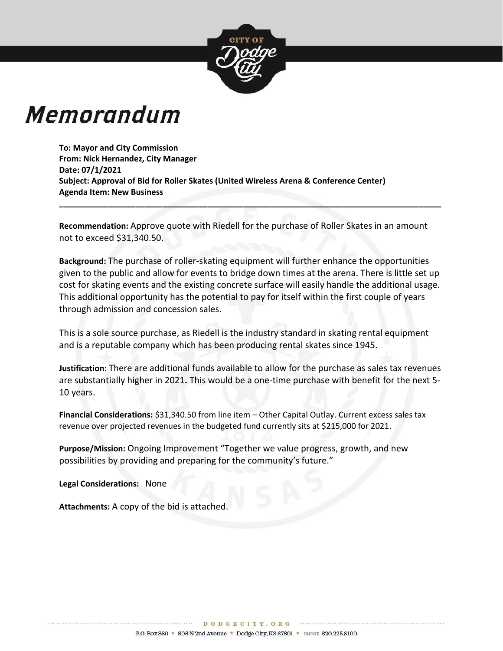

# Memorandum

**To: Mayor and City Commission From: Nick Hernandez, City Manager Date: 07/1/2021 Subject: Approval of Bid for Roller Skates (United Wireless Arena & Conference Center) Agenda Item: New Business**

**Recommendation:** Approve quote with Riedell for the purchase of Roller Skates in an amount not to exceed \$31,340.50.

**\_\_\_\_\_\_\_\_\_\_\_\_\_\_\_\_\_\_\_\_\_\_\_\_\_\_\_\_\_\_\_\_\_\_\_\_\_\_\_\_\_\_\_\_\_\_\_\_\_\_\_\_\_\_\_\_\_\_\_\_\_\_\_\_\_\_\_\_\_\_\_\_\_\_\_\_\_\_\_\_\_\_\_\_\_**

**Background:** The purchase of roller-skating equipment will further enhance the opportunities given to the public and allow for events to bridge down times at the arena. There is little set up cost for skating events and the existing concrete surface will easily handle the additional usage. This additional opportunity has the potential to pay for itself within the first couple of years through admission and concession sales.

This is a sole source purchase, as Riedell is the industry standard in skating rental equipment and is a reputable company which has been producing rental skates since 1945.

**Justification:** There are additional funds available to allow for the purchase as sales tax revenues are substantially higher in 2021**.** This would be a one-time purchase with benefit for the next 5- 10 years.

**Financial Considerations:** \$31,340.50 from line item – Other Capital Outlay. Current excess sales tax revenue over projected revenues in the budgeted fund currently sits at \$215,000 for 2021.

**Purpose/Mission:** Ongoing Improvement "Together we value progress, growth, and new possibilities by providing and preparing for the community's future."

**Legal Considerations:** None

**Attachments:** A copy of the bid is attached.

\*\*\*\*\*\*\*\*\*\*\*\*\*\*\*\*\*\*\*\*\*\*\*\*\*\*\*\*\*\*\*\*